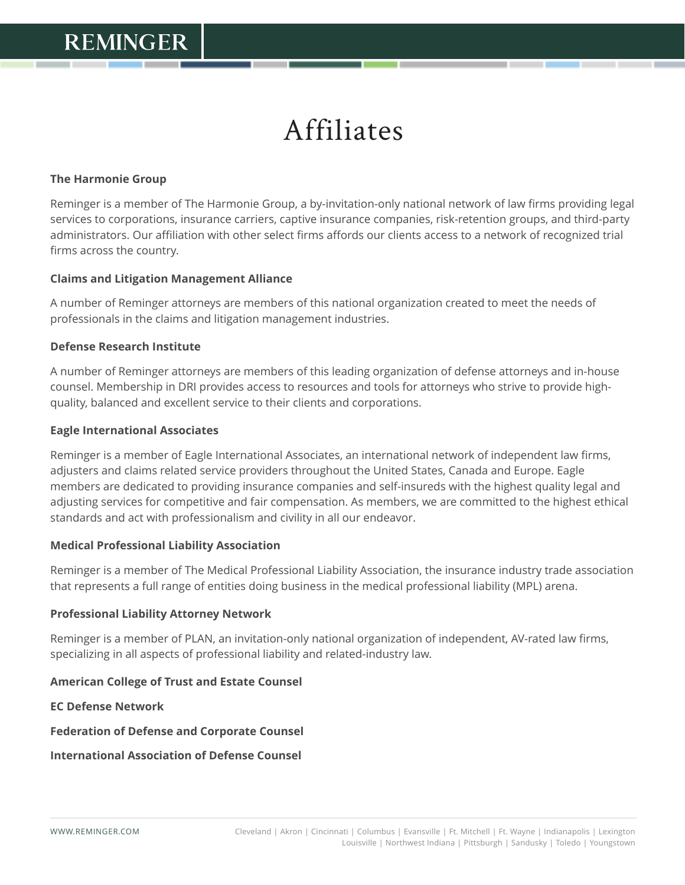# Affiliates

## **The Harmonie Group**

Reminger is a member of The Harmonie Group, a by-invitation-only national network of law firms providing legal services to corporations, insurance carriers, captive insurance companies, risk-retention groups, and third-party administrators. Our affiliation with other select firms affords our clients access to a network of recognized trial firms across the country.

#### **Claims and Litigation Management Alliance**

A number of Reminger attorneys are members of this national organization created to meet the needs of professionals in the claims and litigation management industries.

#### **Defense Research Institute**

A number of Reminger attorneys are members of this leading organization of defense attorneys and in-house counsel. Membership in DRI provides access to resources and tools for attorneys who strive to provide highquality, balanced and excellent service to their clients and corporations.

#### **Eagle International Associates**

Reminger is a member of Eagle International Associates, an international network of independent law firms, adjusters and claims related service providers throughout the United States, Canada and Europe. Eagle members are dedicated to providing insurance companies and self-insureds with the highest quality legal and adjusting services for competitive and fair compensation. As members, we are committed to the highest ethical standards and act with professionalism and civility in all our endeavor.

#### **Medical Professional Liability Association**

Reminger is a member of The Medical Professional Liability Association, the insurance industry trade association that represents a full range of entities doing business in the medical professional liability (MPL) arena.

#### **Professional Liability Attorney Network**

Reminger is a member of PLAN, an invitation-only national organization of independent, AV-rated law firms, specializing in all aspects of professional liability and related-industry law.

## **American College of Trust and Estate Counsel**

**EC Defense Network**

**Federation of Defense and Corporate Counsel**

**International Association of Defense Counsel**